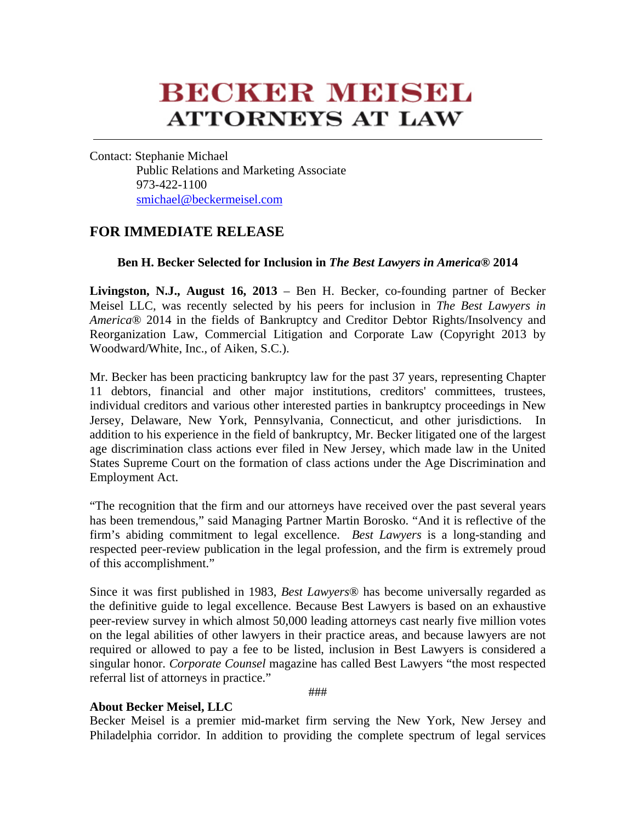## **BECKER MEISEL ATTORNEYS AT LAW**

Contact: Stephanie Michael Public Relations and Marketing Associate 973-422-1100 smichael@beckermeisel.com

## **FOR IMMEDIATE RELEASE**

## **Ben H. Becker Selected for Inclusion in** *The Best Lawyers in America***® 2014**

**Livingston, N.J., August 16, 2013** – Ben H. Becker, co-founding partner of Becker Meisel LLC, was recently selected by his peers for inclusion in *The Best Lawyers in America*® 2014 in the fields of Bankruptcy and Creditor Debtor Rights/Insolvency and Reorganization Law, Commercial Litigation and Corporate Law (Copyright 2013 by Woodward/White, Inc., of Aiken, S.C.).

Mr. Becker has been practicing bankruptcy law for the past 37 years, representing Chapter 11 debtors, financial and other major institutions, creditors' committees, trustees, individual creditors and various other interested parties in bankruptcy proceedings in New Jersey, Delaware, New York, Pennsylvania, Connecticut, and other jurisdictions. In addition to his experience in the field of bankruptcy, Mr. Becker litigated one of the largest age discrimination class actions ever filed in New Jersey, which made law in the United States Supreme Court on the formation of class actions under the Age Discrimination and Employment Act.

"The recognition that the firm and our attorneys have received over the past several years has been tremendous," said Managing Partner Martin Borosko. "And it is reflective of the firm's abiding commitment to legal excellence. *Best Lawyers* is a long-standing and respected peer-review publication in the legal profession, and the firm is extremely proud of this accomplishment."

Since it was first published in 1983, *Best Lawyers*® has become universally regarded as the definitive guide to legal excellence. Because Best Lawyers is based on an exhaustive peer-review survey in which almost 50,000 leading attorneys cast nearly five million votes on the legal abilities of other lawyers in their practice areas, and because lawyers are not required or allowed to pay a fee to be listed, inclusion in Best Lawyers is considered a singular honor. *Corporate Counsel* magazine has called Best Lawyers "the most respected referral list of attorneys in practice."

###

## **About Becker Meisel, LLC**

Becker Meisel is a premier mid-market firm serving the New York, New Jersey and Philadelphia corridor. In addition to providing the complete spectrum of legal services